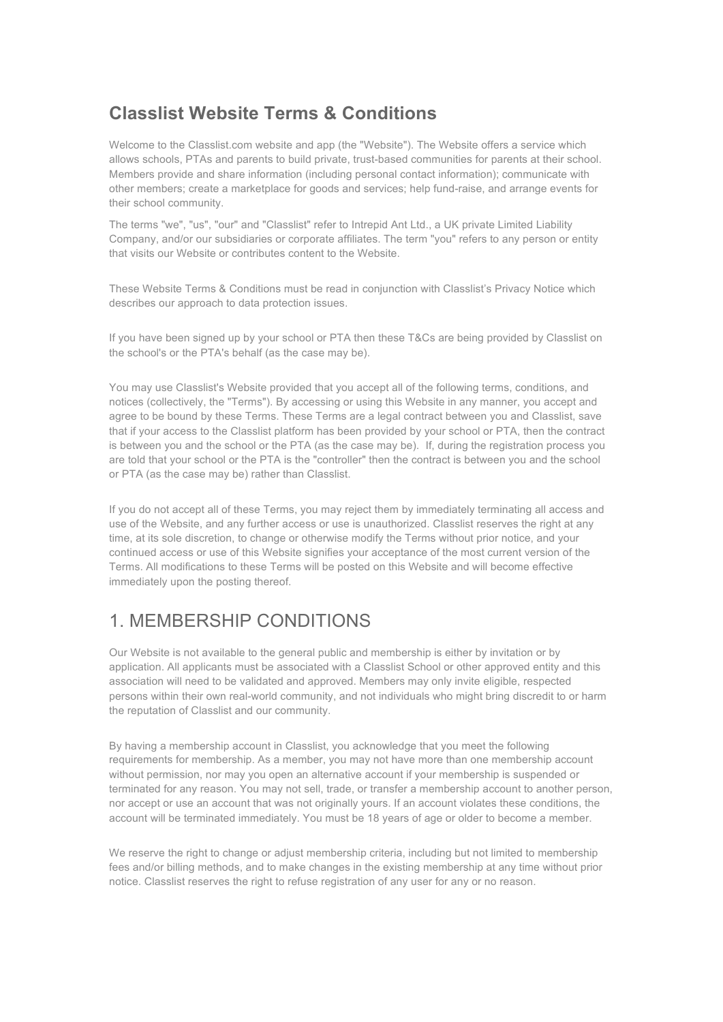#### **Classlist Website Terms & Conditions**

Welcome to the Classlist.com website and app (the "Website"). The Website offers a service which allows schools, PTAs and parents to build private, trust-based communities for parents at their school. Members provide and share information (including personal contact information); communicate with other members; create a marketplace for goods and services; help fund-raise, and arrange events for their school community.

The terms "we", "us", "our" and "Classlist" refer to Intrepid Ant Ltd., a UK private Limited Liability Company, and/or our subsidiaries or corporate affiliates. The term "you" refers to any person or entity that visits our Website or contributes content to the Website.

These Website Terms & Conditions must be read in conjunction with Classlist's Privacy Notice which describes our approach to data protection issues.

If you have been signed up by your school or PTA then these T&Cs are being provided by Classlist on the school's or the PTA's behalf (as the case may be).

You may use Classlist's Website provided that you accept all of the following terms, conditions, and notices (collectively, the "Terms"). By accessing or using this Website in any manner, you accept and agree to be bound by these Terms. These Terms are a legal contract between you and Classlist, save that if your access to the Classlist platform has been provided by your school or PTA, then the contract is between you and the school or the PTA (as the case may be). If, during the registration process you are told that your school or the PTA is the "controller" then the contract is between you and the school or PTA (as the case may be) rather than Classlist.

If you do not accept all of these Terms, you may reject them by immediately terminating all access and use of the Website, and any further access or use is unauthorized. Classlist reserves the right at any time, at its sole discretion, to change or otherwise modify the Terms without prior notice, and your continued access or use of this Website signifies your acceptance of the most current version of the Terms. All modifications to these Terms will be posted on this Website and will become effective immediately upon the posting thereof.

#### 1. MEMBERSHIP CONDITIONS

Our Website is not available to the general public and membership is either by invitation or by application. All applicants must be associated with a Classlist School or other approved entity and this association will need to be validated and approved. Members may only invite eligible, respected persons within their own real-world community, and not individuals who might bring discredit to or harm the reputation of Classlist and our community.

By having a membership account in Classlist, you acknowledge that you meet the following requirements for membership. As a member, you may not have more than one membership account without permission, nor may you open an alternative account if your membership is suspended or terminated for any reason. You may not sell, trade, or transfer a membership account to another person, nor accept or use an account that was not originally yours. If an account violates these conditions, the account will be terminated immediately. You must be 18 years of age or older to become a member.

We reserve the right to change or adjust membership criteria, including but not limited to membership fees and/or billing methods, and to make changes in the existing membership at any time without prior notice. Classlist reserves the right to refuse registration of any user for any or no reason.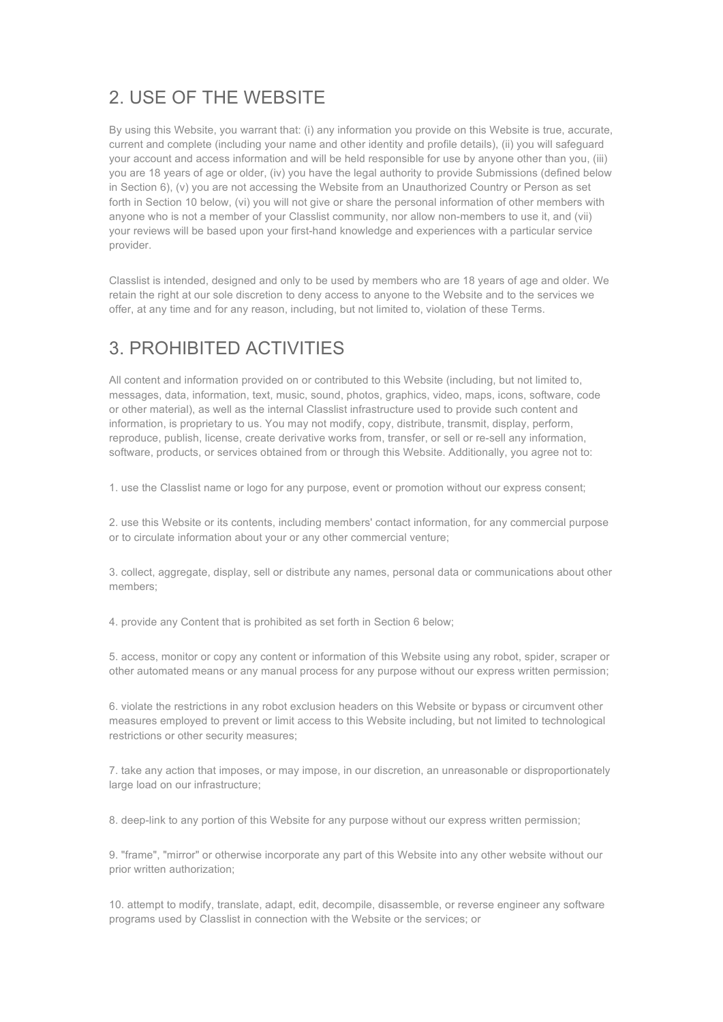## 2. USE OF THE WEBSITE

By using this Website, you warrant that: (i) any information you provide on this Website is true, accurate, current and complete (including your name and other identity and profile details), (ii) you will safeguard your account and access information and will be held responsible for use by anyone other than you, (iii) you are 18 years of age or older, (iv) you have the legal authority to provide Submissions (defined below in Section 6), (v) you are not accessing the Website from an Unauthorized Country or Person as set forth in Section 10 below, (vi) you will not give or share the personal information of other members with anyone who is not a member of your Classlist community, nor allow non-members to use it, and (vii) your reviews will be based upon your first-hand knowledge and experiences with a particular service provider.

Classlist is intended, designed and only to be used by members who are 18 years of age and older. We retain the right at our sole discretion to deny access to anyone to the Website and to the services we offer, at any time and for any reason, including, but not limited to, violation of these Terms.

## 3. PROHIBITED ACTIVITIES

All content and information provided on or contributed to this Website (including, but not limited to, messages, data, information, text, music, sound, photos, graphics, video, maps, icons, software, code or other material), as well as the internal Classlist infrastructure used to provide such content and information, is proprietary to us. You may not modify, copy, distribute, transmit, display, perform, reproduce, publish, license, create derivative works from, transfer, or sell or re-sell any information, software, products, or services obtained from or through this Website. Additionally, you agree not to:

1. use the Classlist name or logo for any purpose, event or promotion without our express consent;

2. use this Website or its contents, including members' contact information, for any commercial purpose or to circulate information about your or any other commercial venture;

3. collect, aggregate, display, sell or distribute any names, personal data or communications about other members;

4. provide any Content that is prohibited as set forth in Section 6 below;

5. access, monitor or copy any content or information of this Website using any robot, spider, scraper or other automated means or any manual process for any purpose without our express written permission;

6. violate the restrictions in any robot exclusion headers on this Website or bypass or circumvent other measures employed to prevent or limit access to this Website including, but not limited to technological restrictions or other security measures;

7. take any action that imposes, or may impose, in our discretion, an unreasonable or disproportionately large load on our infrastructure;

8. deep-link to any portion of this Website for any purpose without our express written permission;

9. "frame", "mirror" or otherwise incorporate any part of this Website into any other website without our prior written authorization;

10. attempt to modify, translate, adapt, edit, decompile, disassemble, or reverse engineer any software programs used by Classlist in connection with the Website or the services; or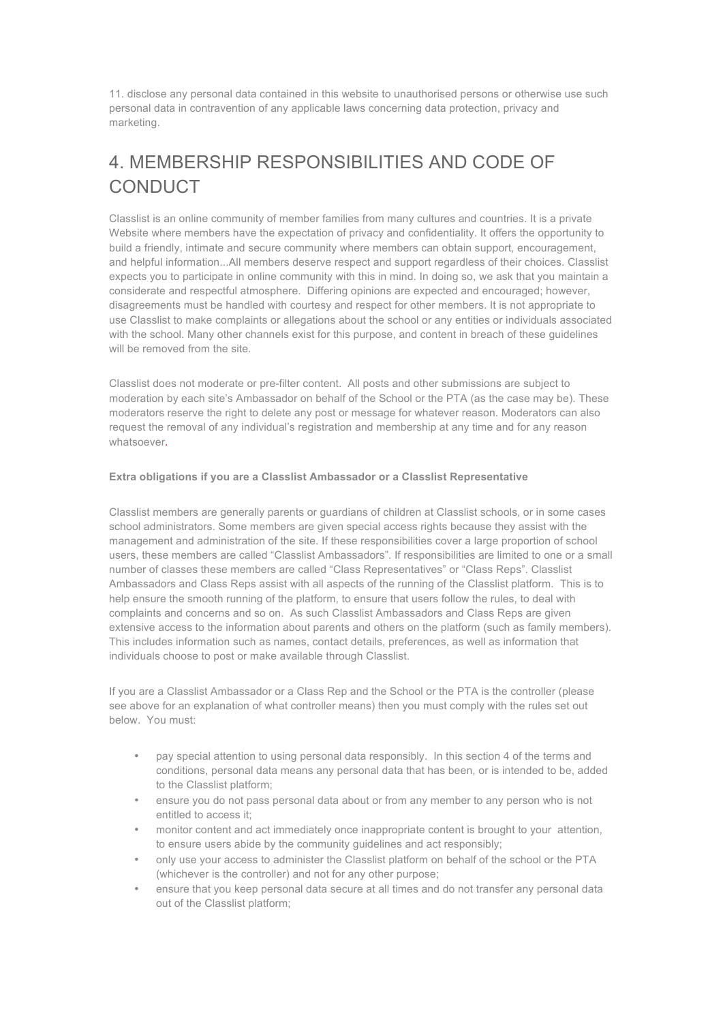11. disclose any personal data contained in this website to unauthorised persons or otherwise use such personal data in contravention of any applicable laws concerning data protection, privacy and marketing.

# 4. MEMBERSHIP RESPONSIBILITIES AND CODE OF **CONDUCT**

Classlist is an online community of member families from many cultures and countries. It is a private Website where members have the expectation of privacy and confidentiality. It offers the opportunity to build a friendly, intimate and secure community where members can obtain support, encouragement, and helpful information...All members deserve respect and support regardless of their choices. Classlist expects you to participate in online community with this in mind. In doing so, we ask that you maintain a considerate and respectful atmosphere. Differing opinions are expected and encouraged; however, disagreements must be handled with courtesy and respect for other members. It is not appropriate to use Classlist to make complaints or allegations about the school or any entities or individuals associated with the school. Many other channels exist for this purpose, and content in breach of these guidelines will be removed from the site.

Classlist does not moderate or pre-filter content. All posts and other submissions are subject to moderation by each site's Ambassador on behalf of the School or the PTA (as the case may be). These moderators reserve the right to delete any post or message for whatever reason. Moderators can also request the removal of any individual's registration and membership at any time and for any reason whatsoever.

#### **Extra obligations if you are a Classlist Ambassador or a Classlist Representative**

Classlist members are generally parents or guardians of children at Classlist schools, or in some cases school administrators. Some members are given special access rights because they assist with the management and administration of the site. If these responsibilities cover a large proportion of school users, these members are called "Classlist Ambassadors". If responsibilities are limited to one or a small number of classes these members are called "Class Representatives" or "Class Reps". Classlist Ambassadors and Class Reps assist with all aspects of the running of the Classlist platform. This is to help ensure the smooth running of the platform, to ensure that users follow the rules, to deal with complaints and concerns and so on. As such Classlist Ambassadors and Class Reps are given extensive access to the information about parents and others on the platform (such as family members). This includes information such as names, contact details, preferences, as well as information that individuals choose to post or make available through Classlist.

If you are a Classlist Ambassador or a Class Rep and the School or the PTA is the controller (please see above for an explanation of what controller means) then you must comply with the rules set out below. You must:

- pay special attention to using personal data responsibly. In this section 4 of the terms and conditions, personal data means any personal data that has been, or is intended to be, added to the Classlist platform;
- ensure you do not pass personal data about or from any member to any person who is not entitled to access it;
- monitor content and act immediately once inappropriate content is brought to your attention, to ensure users abide by the community guidelines and act responsibly;
- only use your access to administer the Classlist platform on behalf of the school or the PTA (whichever is the controller) and not for any other purpose;
- ensure that you keep personal data secure at all times and do not transfer any personal data out of the Classlist platform;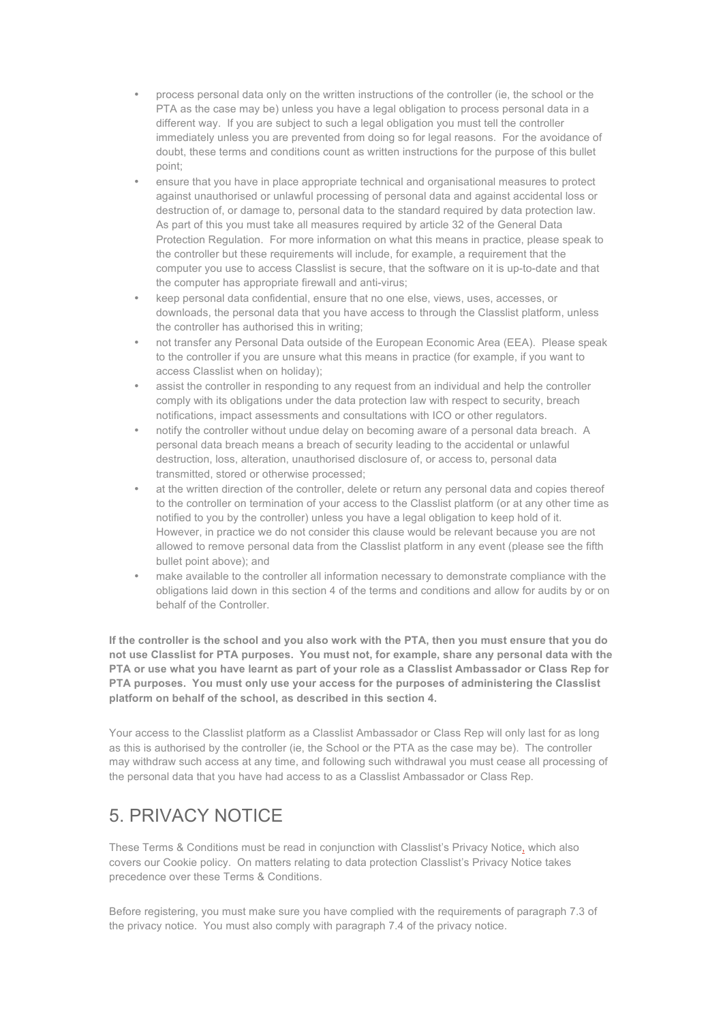- process personal data only on the written instructions of the controller (ie, the school or the PTA as the case may be) unless you have a legal obligation to process personal data in a different way. If you are subject to such a legal obligation you must tell the controller immediately unless you are prevented from doing so for legal reasons. For the avoidance of doubt, these terms and conditions count as written instructions for the purpose of this bullet point;
- ensure that you have in place appropriate technical and organisational measures to protect against unauthorised or unlawful processing of personal data and against accidental loss or destruction of, or damage to, personal data to the standard required by data protection law. As part of this you must take all measures required by article 32 of the General Data Protection Regulation. For more information on what this means in practice, please speak to the controller but these requirements will include, for example, a requirement that the computer you use to access Classlist is secure, that the software on it is up-to-date and that the computer has appropriate firewall and anti-virus;
- keep personal data confidential, ensure that no one else, views, uses, accesses, or downloads, the personal data that you have access to through the Classlist platform, unless the controller has authorised this in writing;
- not transfer any Personal Data outside of the European Economic Area (EEA). Please speak to the controller if you are unsure what this means in practice (for example, if you want to access Classlist when on holiday);
- assist the controller in responding to any request from an individual and help the controller comply with its obligations under the data protection law with respect to security, breach notifications, impact assessments and consultations with ICO or other regulators.
- notify the controller without undue delay on becoming aware of a personal data breach. A personal data breach means a breach of security leading to the accidental or unlawful destruction, loss, alteration, unauthorised disclosure of, or access to, personal data transmitted, stored or otherwise processed;
- at the written direction of the controller, delete or return any personal data and copies thereof to the controller on termination of your access to the Classlist platform (or at any other time as notified to you by the controller) unless you have a legal obligation to keep hold of it. However, in practice we do not consider this clause would be relevant because you are not allowed to remove personal data from the Classlist platform in any event (please see the fifth bullet point above); and
- make available to the controller all information necessary to demonstrate compliance with the obligations laid down in this section 4 of the terms and conditions and allow for audits by or on behalf of the Controller.

**If the controller is the school and you also work with the PTA, then you must ensure that you do not use Classlist for PTA purposes. You must not, for example, share any personal data with the PTA or use what you have learnt as part of your role as a Classlist Ambassador or Class Rep for PTA purposes. You must only use your access for the purposes of administering the Classlist platform on behalf of the school, as described in this section 4.** 

Your access to the Classlist platform as a Classlist Ambassador or Class Rep will only last for as long as this is authorised by the controller (ie, the School or the PTA as the case may be). The controller may withdraw such access at any time, and following such withdrawal you must cease all processing of the personal data that you have had access to as a Classlist Ambassador or Class Rep.

## 5. PRIVACY NOTICE

These Terms & Conditions must be read in conjunction with Classlist's Privacy Notice, which also covers our Cookie policy. On matters relating to data protection Classlist's Privacy Notice takes precedence over these Terms & Conditions.

Before registering, you must make sure you have complied with the requirements of paragraph 7.3 of the privacy notice. You must also comply with paragraph 7.4 of the privacy notice.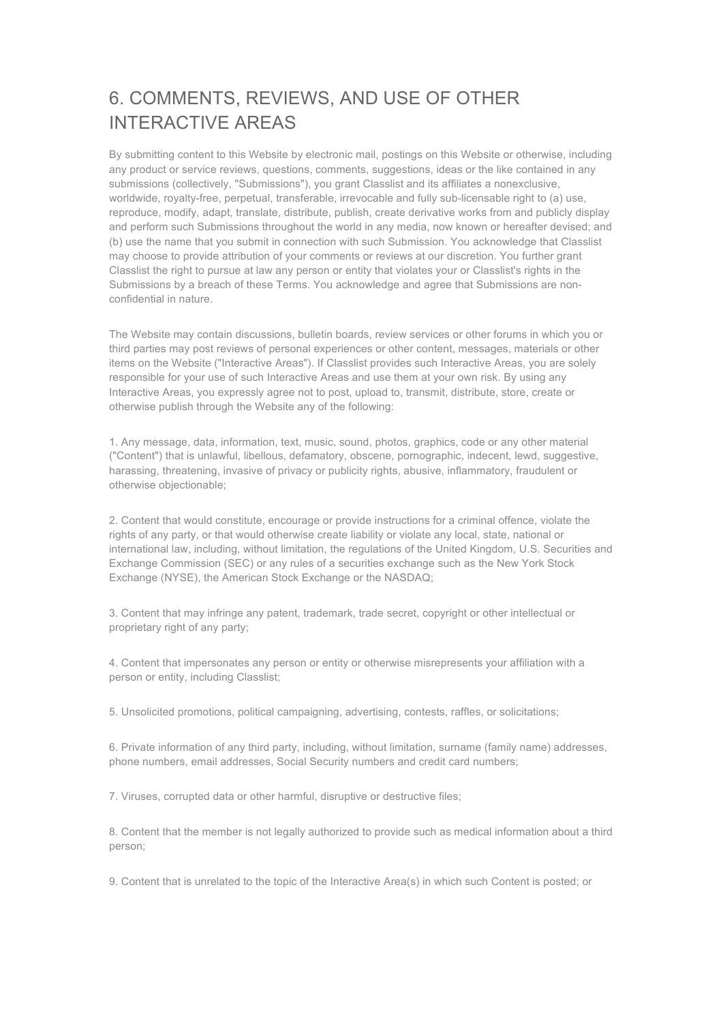# 6. COMMENTS, REVIEWS, AND USE OF OTHER INTERACTIVE AREAS

By submitting content to this Website by electronic mail, postings on this Website or otherwise, including any product or service reviews, questions, comments, suggestions, ideas or the like contained in any submissions (collectively, "Submissions"), you grant Classlist and its affiliates a nonexclusive, worldwide, royalty-free, perpetual, transferable, irrevocable and fully sub-licensable right to (a) use, reproduce, modify, adapt, translate, distribute, publish, create derivative works from and publicly display and perform such Submissions throughout the world in any media, now known or hereafter devised; and (b) use the name that you submit in connection with such Submission. You acknowledge that Classlist may choose to provide attribution of your comments or reviews at our discretion. You further grant Classlist the right to pursue at law any person or entity that violates your or Classlist's rights in the Submissions by a breach of these Terms. You acknowledge and agree that Submissions are nonconfidential in nature.

The Website may contain discussions, bulletin boards, review services or other forums in which you or third parties may post reviews of personal experiences or other content, messages, materials or other items on the Website ("Interactive Areas"). If Classlist provides such Interactive Areas, you are solely responsible for your use of such Interactive Areas and use them at your own risk. By using any Interactive Areas, you expressly agree not to post, upload to, transmit, distribute, store, create or otherwise publish through the Website any of the following:

1. Any message, data, information, text, music, sound, photos, graphics, code or any other material ("Content") that is unlawful, libellous, defamatory, obscene, pornographic, indecent, lewd, suggestive, harassing, threatening, invasive of privacy or publicity rights, abusive, inflammatory, fraudulent or otherwise objectionable;

2. Content that would constitute, encourage or provide instructions for a criminal offence, violate the rights of any party, or that would otherwise create liability or violate any local, state, national or international law, including, without limitation, the regulations of the United Kingdom, U.S. Securities and Exchange Commission (SEC) or any rules of a securities exchange such as the New York Stock Exchange (NYSE), the American Stock Exchange or the NASDAQ;

3. Content that may infringe any patent, trademark, trade secret, copyright or other intellectual or proprietary right of any party;

4. Content that impersonates any person or entity or otherwise misrepresents your affiliation with a person or entity, including Classlist;

5. Unsolicited promotions, political campaigning, advertising, contests, raffles, or solicitations;

6. Private information of any third party, including, without limitation, surname (family name) addresses, phone numbers, email addresses, Social Security numbers and credit card numbers;

7. Viruses, corrupted data or other harmful, disruptive or destructive files;

8. Content that the member is not legally authorized to provide such as medical information about a third person;

9. Content that is unrelated to the topic of the Interactive Area(s) in which such Content is posted; or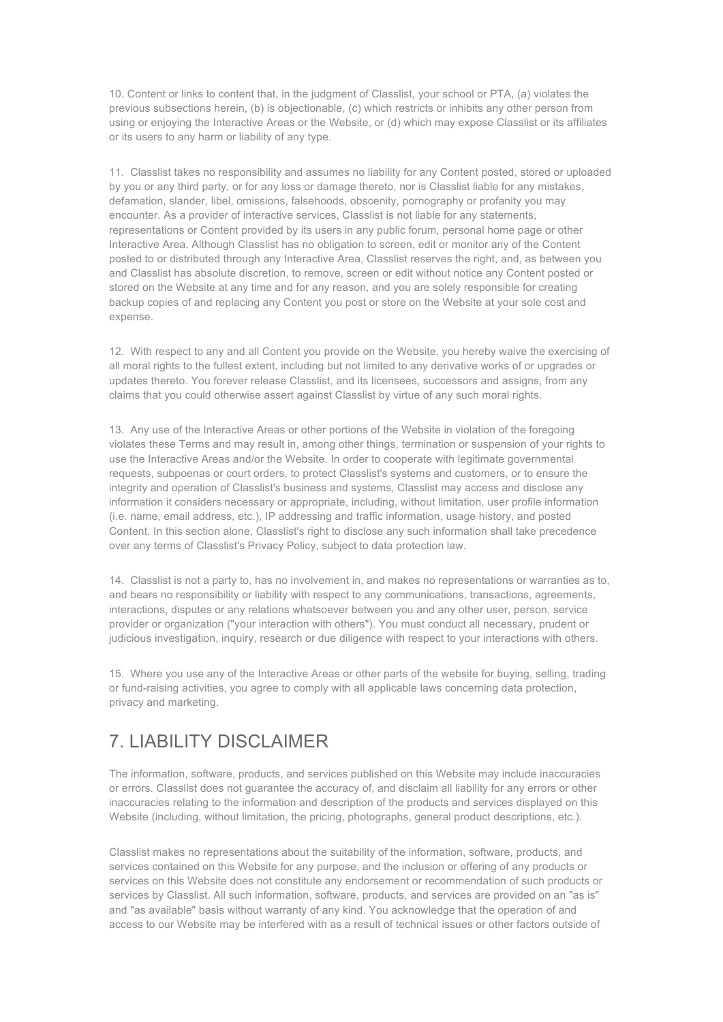10. Content or links to content that, in the judgment of Classlist, your school or PTA, (a) violates the previous subsections herein, (b) is objectionable, (c) which restricts or inhibits any other person from using or enjoying the Interactive Areas or the Website, or (d) which may expose Classlist or its affiliates or its users to any harm or liability of any type.

11. Classlist takes no responsibility and assumes no liability for any Content posted, stored or uploaded by you or any third party, or for any loss or damage thereto, nor is Classlist liable for any mistakes, defamation, slander, libel, omissions, falsehoods, obscenity, pornography or profanity you may encounter. As a provider of interactive services, Classlist is not liable for any statements, representations or Content provided by its users in any public forum, personal home page or other Interactive Area. Although Classlist has no obligation to screen, edit or monitor any of the Content posted to or distributed through any Interactive Area, Classlist reserves the right, and, as between you and Classlist has absolute discretion, to remove, screen or edit without notice any Content posted or stored on the Website at any time and for any reason, and you are solely responsible for creating backup copies of and replacing any Content you post or store on the Website at your sole cost and expense.

12. With respect to any and all Content you provide on the Website, you hereby waive the exercising of all moral rights to the fullest extent, including but not limited to any derivative works of or upgrades or updates thereto. You forever release Classlist, and its licensees, successors and assigns, from any claims that you could otherwise assert against Classlist by virtue of any such moral rights.

13. Any use of the Interactive Areas or other portions of the Website in violation of the foregoing violates these Terms and may result in, among other things, termination or suspension of your rights to use the Interactive Areas and/or the Website. In order to cooperate with legitimate governmental requests, subpoenas or court orders, to protect Classlist's systems and customers, or to ensure the integrity and operation of Classlist's business and systems, Classlist may access and disclose any information it considers necessary or appropriate, including, without limitation, user profile information (i.e. name, email address, etc.), IP addressing and traffic information, usage history, and posted Content. In this section alone, Classlist's right to disclose any such information shall take precedence over any terms of Classlist's Privacy Policy, subject to data protection law.

14. Classlist is not a party to, has no involvement in, and makes no representations or warranties as to, and bears no responsibility or liability with respect to any communications, transactions, agreements, interactions, disputes or any relations whatsoever between you and any other user, person, service provider or organization ("your interaction with others"). You must conduct all necessary, prudent or judicious investigation, inquiry, research or due diligence with respect to your interactions with others.

15. Where you use any of the Interactive Areas or other parts of the website for buying, selling, trading or fund-raising activities, you agree to comply with all applicable laws concerning data protection, privacy and marketing.

#### 7. LIABILITY DISCLAIMER

The information, software, products, and services published on this Website may include inaccuracies or errors. Classlist does not guarantee the accuracy of, and disclaim all liability for any errors or other inaccuracies relating to the information and description of the products and services displayed on this Website (including, without limitation, the pricing, photographs, general product descriptions, etc.).

Classlist makes no representations about the suitability of the information, software, products, and services contained on this Website for any purpose, and the inclusion or offering of any products or services on this Website does not constitute any endorsement or recommendation of such products or services by Classlist. All such information, software, products, and services are provided on an "as is" and "as available" basis without warranty of any kind. You acknowledge that the operation of and access to our Website may be interfered with as a result of technical issues or other factors outside of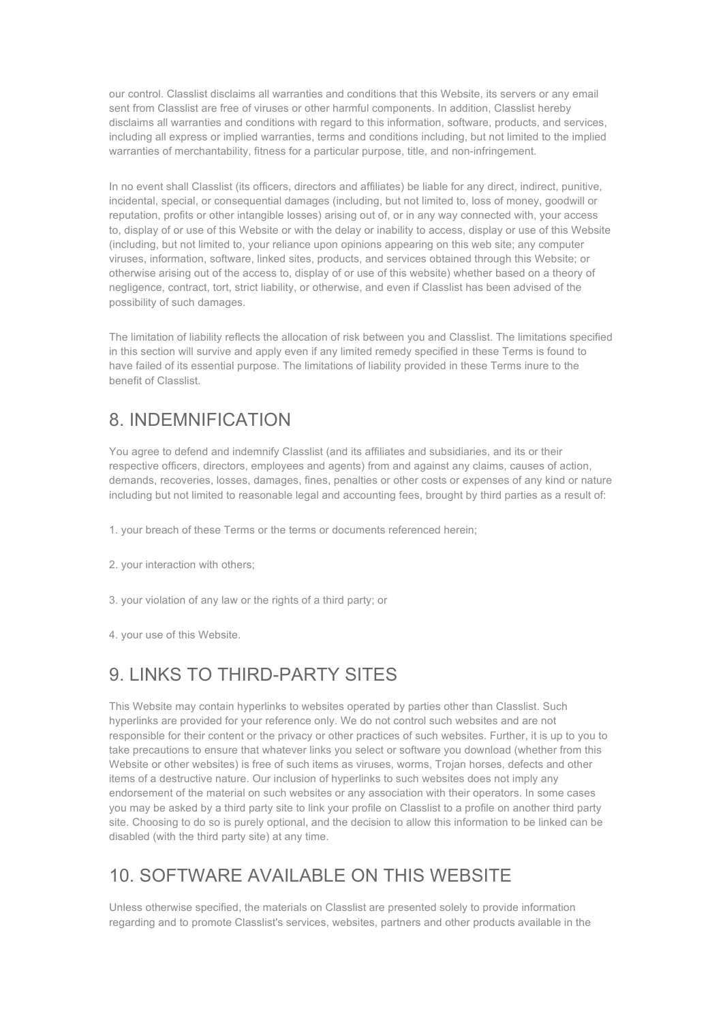our control. Classlist disclaims all warranties and conditions that this Website, its servers or any email sent from Classlist are free of viruses or other harmful components. In addition, Classlist hereby disclaims all warranties and conditions with regard to this information, software, products, and services, including all express or implied warranties, terms and conditions including, but not limited to the implied warranties of merchantability, fitness for a particular purpose, title, and non-infringement.

In no event shall Classlist (its officers, directors and affiliates) be liable for any direct, indirect, punitive, incidental, special, or consequential damages (including, but not limited to, loss of money, goodwill or reputation, profits or other intangible losses) arising out of, or in any way connected with, your access to, display of or use of this Website or with the delay or inability to access, display or use of this Website (including, but not limited to, your reliance upon opinions appearing on this web site; any computer viruses, information, software, linked sites, products, and services obtained through this Website; or otherwise arising out of the access to, display of or use of this website) whether based on a theory of negligence, contract, tort, strict liability, or otherwise, and even if Classlist has been advised of the possibility of such damages.

The limitation of liability reflects the allocation of risk between you and Classlist. The limitations specified in this section will survive and apply even if any limited remedy specified in these Terms is found to have failed of its essential purpose. The limitations of liability provided in these Terms inure to the benefit of Classlist.

#### 8. INDEMNIFICATION

You agree to defend and indemnify Classlist (and its affiliates and subsidiaries, and its or their respective officers, directors, employees and agents) from and against any claims, causes of action, demands, recoveries, losses, damages, fines, penalties or other costs or expenses of any kind or nature including but not limited to reasonable legal and accounting fees, brought by third parties as a result of:

- 1. your breach of these Terms or the terms or documents referenced herein;
- 2. your interaction with others;
- 3. your violation of any law or the rights of a third party; or
- 4. your use of this Website.

#### 9. LINKS TO THIRD-PARTY SITES

This Website may contain hyperlinks to websites operated by parties other than Classlist. Such hyperlinks are provided for your reference only. We do not control such websites and are not responsible for their content or the privacy or other practices of such websites. Further, it is up to you to take precautions to ensure that whatever links you select or software you download (whether from this Website or other websites) is free of such items as viruses, worms, Trojan horses, defects and other items of a destructive nature. Our inclusion of hyperlinks to such websites does not imply any endorsement of the material on such websites or any association with their operators. In some cases you may be asked by a third party site to link your profile on Classlist to a profile on another third party site. Choosing to do so is purely optional, and the decision to allow this information to be linked can be disabled (with the third party site) at any time.

#### 10. SOFTWARE AVAILABLE ON THIS WEBSITE

Unless otherwise specified, the materials on Classlist are presented solely to provide information regarding and to promote Classlist's services, websites, partners and other products available in the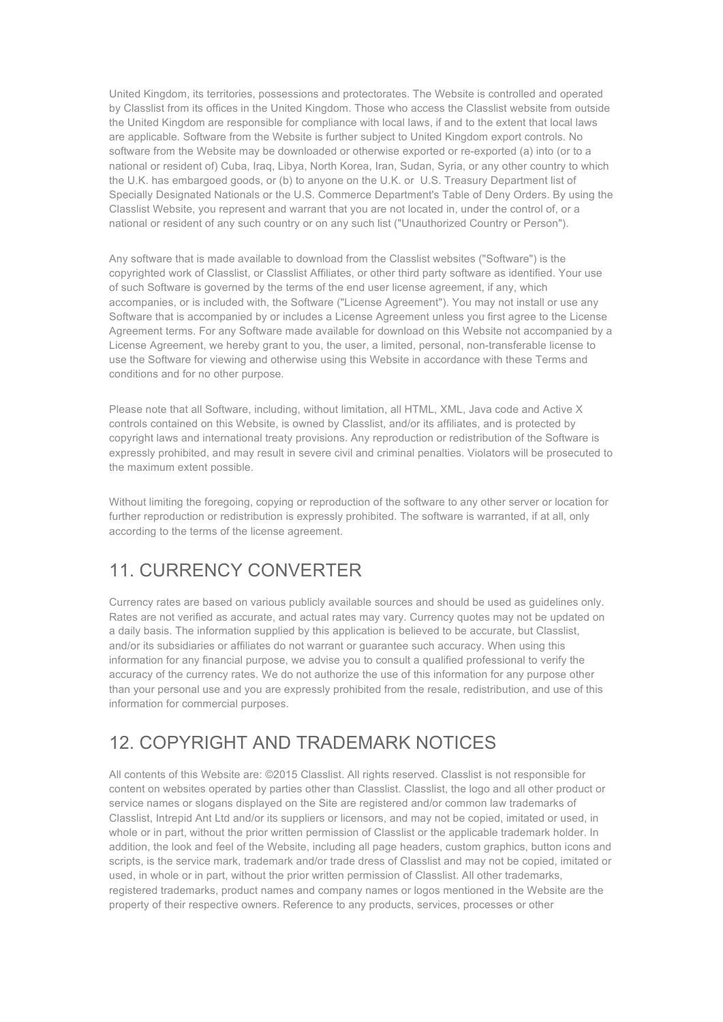United Kingdom, its territories, possessions and protectorates. The Website is controlled and operated by Classlist from its offices in the United Kingdom. Those who access the Classlist website from outside the United Kingdom are responsible for compliance with local laws, if and to the extent that local laws are applicable. Software from the Website is further subject to United Kingdom export controls. No software from the Website may be downloaded or otherwise exported or re-exported (a) into (or to a national or resident of) Cuba, Iraq, Libya, North Korea, Iran, Sudan, Syria, or any other country to which the U.K. has embargoed goods, or (b) to anyone on the U.K. or U.S. Treasury Department list of Specially Designated Nationals or the U.S. Commerce Department's Table of Deny Orders. By using the Classlist Website, you represent and warrant that you are not located in, under the control of, or a national or resident of any such country or on any such list ("Unauthorized Country or Person").

Any software that is made available to download from the Classlist websites ("Software") is the copyrighted work of Classlist, or Classlist Affiliates, or other third party software as identified. Your use of such Software is governed by the terms of the end user license agreement, if any, which accompanies, or is included with, the Software ("License Agreement"). You may not install or use any Software that is accompanied by or includes a License Agreement unless you first agree to the License Agreement terms. For any Software made available for download on this Website not accompanied by a License Agreement, we hereby grant to you, the user, a limited, personal, non-transferable license to use the Software for viewing and otherwise using this Website in accordance with these Terms and conditions and for no other purpose.

Please note that all Software, including, without limitation, all HTML, XML, Java code and Active X controls contained on this Website, is owned by Classlist, and/or its affiliates, and is protected by copyright laws and international treaty provisions. Any reproduction or redistribution of the Software is expressly prohibited, and may result in severe civil and criminal penalties. Violators will be prosecuted to the maximum extent possible.

Without limiting the foregoing, copying or reproduction of the software to any other server or location for further reproduction or redistribution is expressly prohibited. The software is warranted, if at all, only according to the terms of the license agreement.

## 11. CURRENCY CONVERTER

Currency rates are based on various publicly available sources and should be used as guidelines only. Rates are not verified as accurate, and actual rates may vary. Currency quotes may not be updated on a daily basis. The information supplied by this application is believed to be accurate, but Classlist, and/or its subsidiaries or affiliates do not warrant or guarantee such accuracy. When using this information for any financial purpose, we advise you to consult a qualified professional to verify the accuracy of the currency rates. We do not authorize the use of this information for any purpose other than your personal use and you are expressly prohibited from the resale, redistribution, and use of this information for commercial purposes.

## 12. COPYRIGHT AND TRADEMARK NOTICES

All contents of this Website are: ©2015 Classlist. All rights reserved. Classlist is not responsible for content on websites operated by parties other than Classlist. Classlist, the logo and all other product or service names or slogans displayed on the Site are registered and/or common law trademarks of Classlist, Intrepid Ant Ltd and/or its suppliers or licensors, and may not be copied, imitated or used, in whole or in part, without the prior written permission of Classlist or the applicable trademark holder. In addition, the look and feel of the Website, including all page headers, custom graphics, button icons and scripts, is the service mark, trademark and/or trade dress of Classlist and may not be copied, imitated or used, in whole or in part, without the prior written permission of Classlist. All other trademarks, registered trademarks, product names and company names or logos mentioned in the Website are the property of their respective owners. Reference to any products, services, processes or other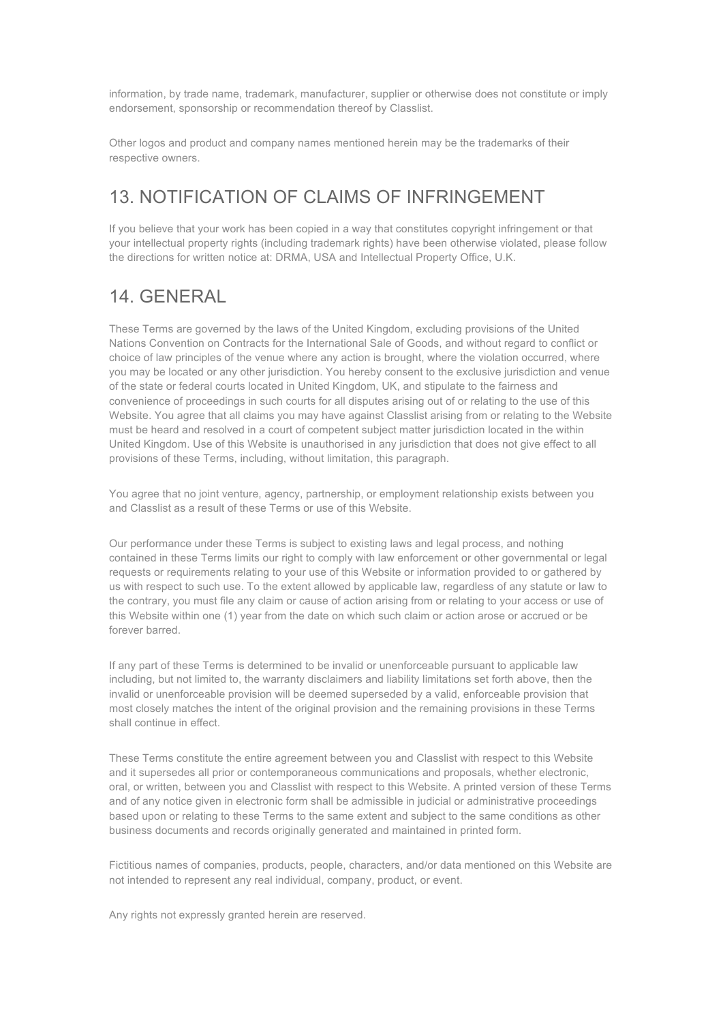information, by trade name, trademark, manufacturer, supplier or otherwise does not constitute or imply endorsement, sponsorship or recommendation thereof by Classlist.

Other logos and product and company names mentioned herein may be the trademarks of their respective owners.

### 13. NOTIFICATION OF CLAIMS OF INFRINGEMENT

If you believe that your work has been copied in a way that constitutes copyright infringement or that your intellectual property rights (including trademark rights) have been otherwise violated, please follow the directions for written notice at: DRMA, USA and Intellectual Property Office, U.K.

## 14. GENERAL

These Terms are governed by the laws of the United Kingdom, excluding provisions of the United Nations Convention on Contracts for the International Sale of Goods, and without regard to conflict or choice of law principles of the venue where any action is brought, where the violation occurred, where you may be located or any other jurisdiction. You hereby consent to the exclusive jurisdiction and venue of the state or federal courts located in United Kingdom, UK, and stipulate to the fairness and convenience of proceedings in such courts for all disputes arising out of or relating to the use of this Website. You agree that all claims you may have against Classlist arising from or relating to the Website must be heard and resolved in a court of competent subject matter jurisdiction located in the within United Kingdom. Use of this Website is unauthorised in any jurisdiction that does not give effect to all provisions of these Terms, including, without limitation, this paragraph.

You agree that no joint venture, agency, partnership, or employment relationship exists between you and Classlist as a result of these Terms or use of this Website.

Our performance under these Terms is subject to existing laws and legal process, and nothing contained in these Terms limits our right to comply with law enforcement or other governmental or legal requests or requirements relating to your use of this Website or information provided to or gathered by us with respect to such use. To the extent allowed by applicable law, regardless of any statute or law to the contrary, you must file any claim or cause of action arising from or relating to your access or use of this Website within one (1) year from the date on which such claim or action arose or accrued or be forever barred.

If any part of these Terms is determined to be invalid or unenforceable pursuant to applicable law including, but not limited to, the warranty disclaimers and liability limitations set forth above, then the invalid or unenforceable provision will be deemed superseded by a valid, enforceable provision that most closely matches the intent of the original provision and the remaining provisions in these Terms shall continue in effect.

These Terms constitute the entire agreement between you and Classlist with respect to this Website and it supersedes all prior or contemporaneous communications and proposals, whether electronic, oral, or written, between you and Classlist with respect to this Website. A printed version of these Terms and of any notice given in electronic form shall be admissible in judicial or administrative proceedings based upon or relating to these Terms to the same extent and subject to the same conditions as other business documents and records originally generated and maintained in printed form.

Fictitious names of companies, products, people, characters, and/or data mentioned on this Website are not intended to represent any real individual, company, product, or event.

Any rights not expressly granted herein are reserved.